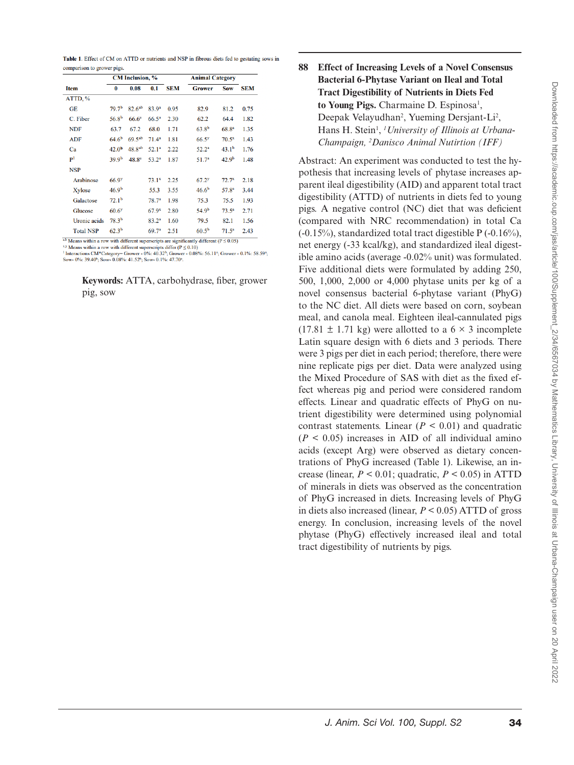| Table 1. Effect of CM on ATTD or nutrients and NSP in fibrous diets fed to gestating sows in |  |  |  |  |
|----------------------------------------------------------------------------------------------|--|--|--|--|
| comparison to grower pigs.                                                                   |  |  |  |  |

|                  | <b>CM</b> Inclusion, % |                    |                   | <b>Animal Category</b> |                     |                   |            |
|------------------|------------------------|--------------------|-------------------|------------------------|---------------------|-------------------|------------|
| <b>Item</b>      | 0                      | 0.08               | 0.1               | <b>SEM</b>             | <b>Grower</b>       | Sow               | <b>SEM</b> |
| ATTD, %          |                        |                    |                   |                        |                     |                   |            |
| <b>GE</b>        | 79.7 <sup>b</sup>      | 82.6 <sup>ab</sup> | 83.9 <sup>a</sup> | 0.95                   | 82.9                | 81.2              | 0.75       |
| C. Fiber         | 56.8 <sup>b</sup>      | 66.6 <sup>a</sup>  | $66.5^{\circ}$    | 2.30                   | 62.2                | 64.4              | 1.82       |
| <b>NDF</b>       | 63.7                   | 67.2               | 68.0              | 1.71                   | $63.8^{b}$          | $68.8^{a}$        | 1.35       |
| <b>ADF</b>       | $64.6^{b}$             | 69.5 <sup>ab</sup> | 71.4 <sup>a</sup> | 1.81                   | 66.5 <sup>y</sup>   | $70.5^{x}$        | 1.43       |
| Ca               | 42.0 <sup>b</sup>      | 48.8 <sup>ab</sup> | 52.1 <sup>a</sup> | 2.22                   | $52.2^a$            | 43.1 <sup>b</sup> | 1.76       |
| P <sup>1</sup>   | 39.9 <sup>b</sup>      | 48.8 <sup>a</sup>  | $53.2^{a}$        | 1.87                   | 51.7 <sup>a</sup>   | 42.9 <sup>b</sup> | 1.48       |
| <b>NSP</b>       |                        |                    |                   |                        |                     |                   |            |
| Arabinose        | 66.9 <sup>y</sup>      |                    | $73.1^{x}$        | 2.25                   | $67.2$ <sup>y</sup> | $72.7^{x}$        | 2.18       |
| Xylose           | 46.9 <sup>b</sup>      |                    | 55.3              | 3.55                   | 46.6 <sup>b</sup>   | 57.8 <sup>a</sup> | 3.44       |
| Galactose        | 72.1 <sup>b</sup>      |                    | 78.7 <sup>a</sup> | 1.98                   | 75.3                | 75.5              | 1.93       |
| Glucose          | $60.6$ <sup>y</sup>    |                    | $67.9^{x}$        | 2.80                   | 54.9 <sup>b</sup>   | $73.5^a$          | 2.71       |
| Uronic acids     | 78.3 <sup>b</sup>      |                    | 83.2 <sup>a</sup> | 1.60                   | 79.5                | 82.1              | 1.56       |
| <b>Total NSP</b> | 62.3 <sup>b</sup>      |                    | 69.7 <sup>a</sup> | 2.51                   | $60.5^{b}$          | $71.5^a$          | 2.43       |

a,b Means within a row with different superscripts are significantly different ( $P \le 0.05$ )

Notation in the wind universal separation of  $\frac{1}{2}$  o.0.9)<br>
Means within a row with different superscripts differ  $(P \le 0.10)$ <br>
<sup>1</sup> Interactions CM\*Category= Grower - 0%: 40.32<sup>b</sup>; Grower - 0.08%: 56.11<sup>+</sup>; Grower - 0.1

**Keywords:** ATTA, carbohydrase, fiber, grower pig, sow

## **88 Effect of Increasing Levels of a Novel Consensus Bacterial 6-Phytase Variant on Ileal and Total Tract Digestibility of Nutrients in Diets Fed**  to Young Pigs. Charmaine D. Espinosa<sup>1</sup>, Deepak Velayudhan<sup>2</sup>, Yueming Dersjant-Li<sup>2</sup>, Hans H. Stein<sup>1</sup>, <sup>1</sup> University of Illinois at Urbana-*Champaign, <sup>2</sup> Danisco Animal Nutirtion (IFF)*

Abstract: An experiment was conducted to test the hypothesis that increasing levels of phytase increases apparent ileal digestibility (AID) and apparent total tract digestibility (ATTD) of nutrients in diets fed to young pigs. A negative control (NC) diet that was deficient (compared with NRC recommendation) in total Ca (-0.15%), standardized total tract digestible P (-0.16%), net energy (-33 kcal/kg), and standardized ileal digestible amino acids (average -0.02% unit) was formulated. Five additional diets were formulated by adding 250, 500, 1,000, 2,000 or 4,000 phytase units per kg of a novel consensus bacterial 6-phytase variant (PhyG) to the NC diet. All diets were based on corn, soybean meal, and canola meal. Eighteen ileal-cannulated pigs  $(17.81 \pm 1.71 \text{ kg})$  were allotted to a 6  $\times$  3 incomplete Latin square design with 6 diets and 3 periods. There were 3 pigs per diet in each period; therefore, there were nine replicate pigs per diet. Data were analyzed using the Mixed Procedure of SAS with diet as the fixed effect whereas pig and period were considered random effects. Linear and quadratic effects of PhyG on nutrient digestibility were determined using polynomial contrast statements. Linear  $(P < 0.01)$  and quadratic  $(P < 0.05)$  increases in AID of all individual amino acids (except Arg) were observed as dietary concentrations of PhyG increased (Table 1). Likewise, an increase (linear,  $P \le 0.01$ ; quadratic,  $P \le 0.05$ ) in ATTD of minerals in diets was observed as the concentration of PhyG increased in diets. Increasing levels of PhyG in diets also increased (linear, *P* < 0.05) ATTD of gross energy. In conclusion, increasing levels of the novel phytase (PhyG) effectively increased ileal and total tract digestibility of nutrients by pigs.